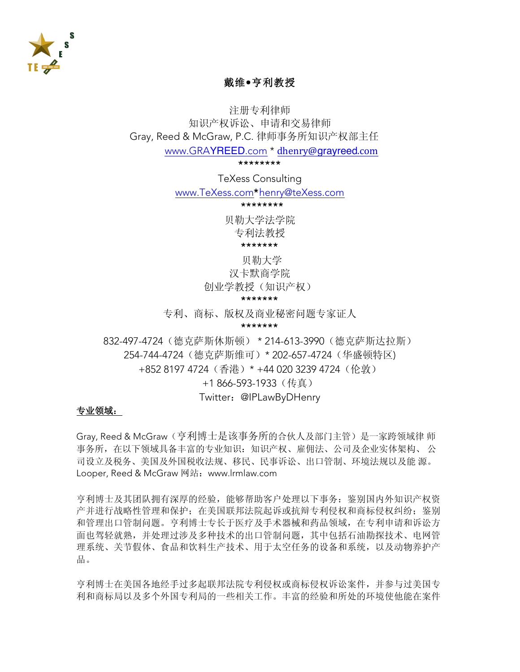

# 戴维·亨利教授

注册专利律师 知识产权诉讼、申请和交易律师 Grav. Reed & McGraw. P.C. 律师事务所知识产权部主任

www.GRAYREED.com \* dhenry@grayreed.com

\*\*\*\*\*\*\*\*

**TeXess Consulting** 

www.TeXess.com\*henry@teXess.com

\*\*\*\*\*\*\*\*

贝勒大学法学院

专利法教授

\*\*\*\*\*\*\*

贝勒大学

汉卡默商学院

创业学教授(知识产权)

#### \*\*\*\*\*\*\*

专利、商标、版权及商业秘密问题专家证人

#### \*\*\*\*\*\*\*

832-497-4724 (德克萨斯休斯顿) \* 214-613-3990 (德克萨斯达拉斯) 254-744-4724 (德克萨斯维可) \* 202-657-4724 (华盛顿特区) +852 8197 4724 (香港) \* +44 020 3239 4724 (伦敦)

+1866-593-1933 (传真)

#### Twitter: @IPLawByDHenry

#### 专业领域:

Gray, Reed & McGraw ( 亨利博士是该事务所的合伙人及部门主管) 是一家跨领域律 师 事务所, 在以下领域具备丰富的专业知识: 知识产权、雇佣法、公司及企业实体架构、公 司设立及税务、美国及外国税收法规、移民、民事诉讼、出口管制、环境法规以及能源。 Looper, Reed & McGraw 网站: www.lrmlaw.com

亨利博十及其团队拥有深厚的经验, 能够帮助客户处理以下事务: 鉴别国内外知识产权资 产并进行战略性管理和保护; 在美国联邦法院起诉或抗辩专利侵权和商标侵权纠纷: 鉴别 和管理出口管制问题。亨利博士专长于医疗及手术器械和药品领域, 在专利申请和诉讼方 面也驾轻就熟,并处理过涉及多种技术的出口管制问题,其中包括石油勘探技术、电网管 理系统、关节假体、食品和饮料生产技术、用于太空任务的设备和系统,以及动物养护产 品。

亨利博士在美国各地经手过多起联邦法院专利侵权或商标侵权诉讼案件,并参与过美国专 利和商标局以及多个外国专利局的一些相关工作。丰富的经验和所处的环境使他能在案件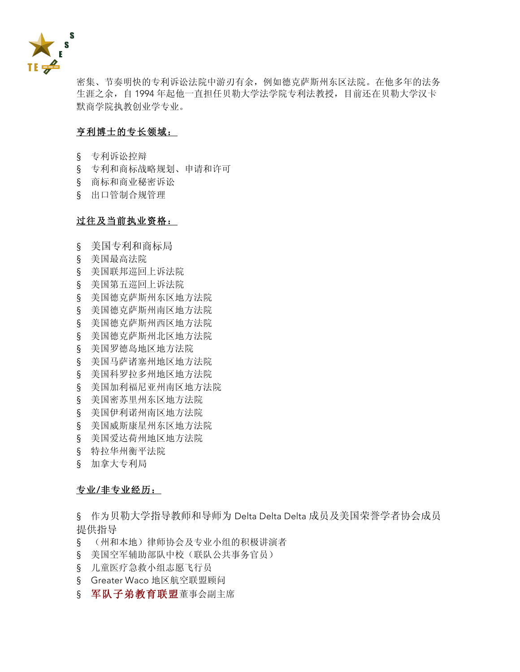

密集、节奏明快的专利诉讼法院中游刃有余, 例如德克萨斯州东区法院。在他多年的法务 生涯之余, 自 1994年起他一直担任贝勒大学法学院专利法教授, 目前还在贝勒大学汉卡 默商学院执教创业学专业。

### 亨利博士的专长领域:

- § 专利诉讼控辩
- § 专利和商标战略规划、申请和许可
- § 商标和商业秘密诉讼
- § 出口管制合规管理

#### 过往及当前执业资格:

- § 美国专利和商标局
- § 美国最高法院
- § 美国联邦巡回上诉法院
- § 美国第五巡回上诉法院
- § 美国德克萨斯州东区地方法院
- § 美国德克萨斯州南区地方法院
- § 美国德克萨斯州西区地方法院
- § 美国德克萨斯州北区地方法院
- § 美国罗德岛地区地方法院
- § 美国马萨诸塞州地区地方法院
- § 美国科罗拉多州地区地方法院
- § 美国加利福尼亚州南区地方法院
- § 美国密苏里州东区地方法院
- § 美国伊利诺州南区地方法院
- § 美国威斯康星州东区地方法院
- § 美国爱达荷州地区地方法院
- § 特拉华州衡平法院
- § 加拿大专利局

#### 专业/非专业经历:

§ 作为贝勒大学指导教师和导师为 Delta Delta Delta 成员及美国荣誉学者协会成员 提供指导

- § (州和本地)律师协会及专业小组的积极讲演者
- § 美国空军辅助部队中校(联队公共事务官员)
- § 儿童医疗急救小组志愿飞行员
- § Greater Waco 地区航空联盟顾问
- § 军队子弟教育联盟董事会副主席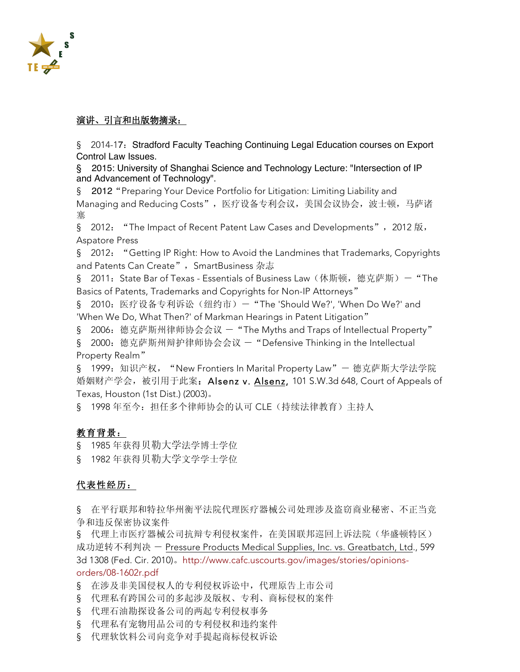

# 演讲、引言和出版物摘录:

§ 2014-17: Stradford Faculty Teaching Continuing Legal Education courses on Export Control Law Issues.

§ 2015: University of Shanghai Science and Technology Lecture: "Intersection of IP and Advancement of Technology".

§ 2012 "Preparing Your Device Portfolio for Litigation: Limiting Liability and Managing and Reducing Costs", 医疗设备专利会议, 美国会议协会, 波士顿, 马萨诸 寨

§ 2012: "The Impact of Recent Patent Law Cases and Developments", 2012版, **Aspatore Press** 

§ 2012: "Getting IP Right: How to Avoid the Landmines that Trademarks, Copyrights and Patents Can Create", SmartBusiness 杂志

§ 2011: State Bar of Texas - Essentials of Business Law(休斯顿,德克萨斯)— "The Basics of Patents, Trademarks and Copyrights for Non-IP Attorneys"

§ 2010: 医疗设备专利诉讼(纽约市)- "The 'Should We?', 'When Do We?' and 'When We Do, What Then?' of Markman Hearings in Patent Litigation"

§ 2006: 德克萨斯州律师协会会议 - "The Myths and Traps of Intellectual Property"

§ 2000: 德克萨斯州辩护律师协会会议 - "Defensive Thinking in the Intellectual Property Realm"

§ 1999: 知识产权, "New Frontiers In Marital Property Law" - 德克萨斯大学法学院 婚姻财产学会, 被引用于此案: Alsenz v. Alsenz, 101 S.W.3d 648, Court of Appeals of Texas, Houston (1st Dist.) (2003).

§ 1998年至今: 担任多个律师协会的认可 CLE (持续法律教育) 主持人

# 教育背景:

§ 1985年获得贝勒大学法学博士学位

§ 1982年获得贝勒大学文学学士学位

# 代表性经历:

§ 在平行联邦和特拉华州衡平法院代理医疗器械公司处理涉及盗窃商业秘密、不正当竞 争和违反保密协议案件

§ 代理上市医疗器械公司抗辩专利侵权案件, 在美国联邦巡回上诉法院(华盛顿特区) 成功逆转不利判决 - Pressure Products Medical Supplies, Inc. vs. Greatbatch, Ltd., 599 3d 1308 (Fed. Cir. 2010)。http://www.cafc.uscourts.gov/images/stories/opinionsorders/08-1602r.pdf

§ 在涉及非美国侵权人的专利侵权诉讼中, 代理原告上市公司

- § 代理私有跨国公司的多起涉及版权、专利、商标侵权的案件
- § 代理石油勘探设备公司的两起专利侵权事务
- § 代理私有宠物用品公司的专利侵权和违约案件
- § 代理软饮料公司向竞争对手提起商标侵权诉讼